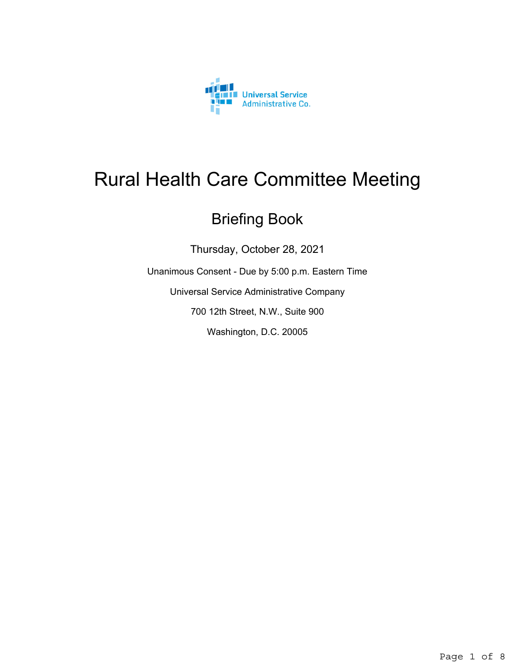

# Rural Health Care Committee Meeting

# Briefing Book

Thursday, October 28, 2021

Unanimous Consent - Due by 5:00 p.m. Eastern Time

Universal Service Administrative Company

700 12th Street, N.W., Suite 900

Washington, D.C. 20005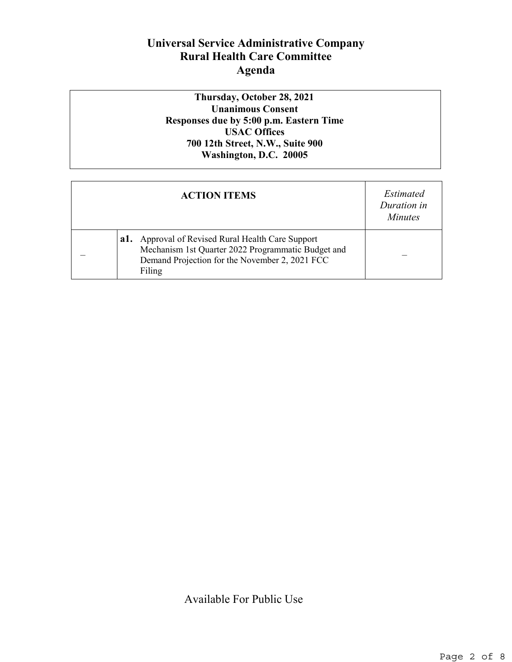## **Universal Service Administrative Company Rural Health Care Committee Agenda**

**Thursday, October 28, 2021 Unanimous Consent Responses due by 5:00 p.m. Eastern Time USAC Offices 700 12th Street, N.W., Suite 900 Washington, D.C. 20005**

| <b>ACTION ITEMS</b>                                                                                                                                                    | Estimated<br>Duration in<br><i>Minutes</i> |
|------------------------------------------------------------------------------------------------------------------------------------------------------------------------|--------------------------------------------|
| Approval of Revised Rural Health Care Support<br>a1.<br>Mechanism 1st Quarter 2022 Programmatic Budget and<br>Demand Projection for the November 2, 2021 FCC<br>Filing |                                            |

Available For Public Use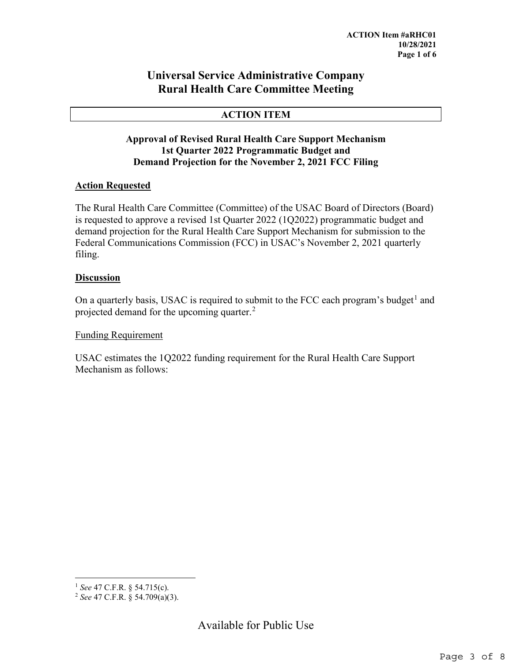### **Universal Service Administrative Company Rural Health Care Committee Meeting**

#### **ACTION ITEM**

#### **Approval of Revised Rural Health Care Support Mechanism 1st Quarter 2022 Programmatic Budget and Demand Projection for the November 2, 2021 FCC Filing**

#### **Action Requested**

The Rural Health Care Committee (Committee) of the USAC Board of Directors (Board) is requested to approve a revised 1st Quarter 2022 (1Q2022) programmatic budget and demand projection for the Rural Health Care Support Mechanism for submission to the Federal Communications Commission (FCC) in USAC's November 2, 2021 quarterly filing.

#### **Discussion**

On a quarterly basis, USAC is required to submit to the FCC each program's budget<sup>[1](#page-2-0)</sup> and projected demand for the upcoming quarter.<sup>[2](#page-2-1)</sup>

#### Funding Requirement

USAC estimates the 1Q2022 funding requirement for the Rural Health Care Support Mechanism as follows:

<span id="page-2-0"></span> <sup>1</sup> *See* 47 C.F.R. § 54.715(c).

<span id="page-2-1"></span><sup>2</sup> *See* 47 C.F.R. § 54.709(a)(3).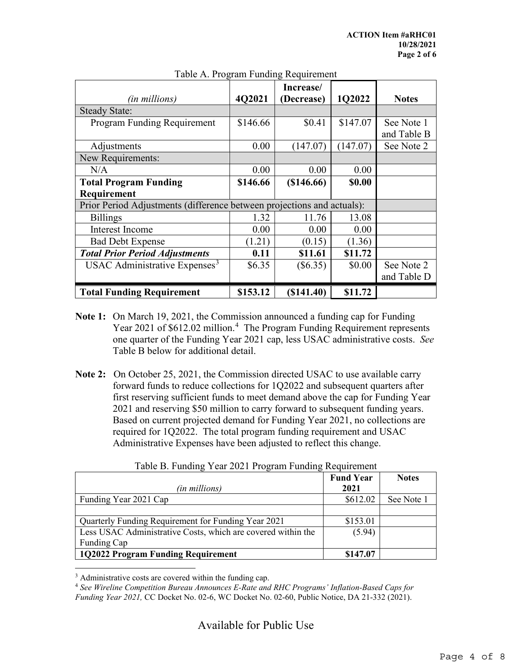|                                                                        | $\frac{1}{2}$<br>Increase/ |            |          |              |  |
|------------------------------------------------------------------------|----------------------------|------------|----------|--------------|--|
| (in millions)                                                          | 4Q2021                     | (Decrease) | 1Q2022   | <b>Notes</b> |  |
| <b>Steady State:</b>                                                   |                            |            |          |              |  |
| Program Funding Requirement                                            | \$146.66                   | \$0.41     | \$147.07 | See Note 1   |  |
|                                                                        |                            |            |          | and Table B  |  |
| Adjustments                                                            | 0.00                       | (147.07)   | (147.07) | See Note 2   |  |
| New Requirements:                                                      |                            |            |          |              |  |
| N/A                                                                    | 0.00                       | 0.00       | 0.00     |              |  |
| <b>Total Program Funding</b>                                           | \$146.66                   | (\$146.66) | \$0.00   |              |  |
| Requirement                                                            |                            |            |          |              |  |
| Prior Period Adjustments (difference between projections and actuals): |                            |            |          |              |  |
| <b>Billings</b>                                                        | 1.32                       | 11.76      | 13.08    |              |  |
| <b>Interest Income</b>                                                 | 0.00                       | 0.00       | 0.00     |              |  |
| <b>Bad Debt Expense</b>                                                | (1.21)                     | (0.15)     | (1.36)   |              |  |
| <b>Total Prior Period Adjustments</b>                                  | 0.11                       | \$11.61    | \$11.72  |              |  |
| USAC Administrative Expenses <sup>3</sup>                              | \$6.35                     | $(\$6.35)$ | \$0.00   | See Note 2   |  |
|                                                                        |                            |            |          | and Table D  |  |
| <b>Total Funding Requirement</b>                                       | \$153.12                   | (\$141.40) | \$11.72  |              |  |

#### Table A. Program Funding Requirement

- **Note 1:** On March 19, 2021, the Commission announced a funding cap for Funding Year 2021 of \$612.02 million.<sup>[4](#page-3-1)</sup> The Program Funding Requirement represents one quarter of the Funding Year 2021 cap, less USAC administrative costs. *See* Table B below for additional detail.
- **Note 2:** On October 25, 2021, the Commission directed USAC to use available carry forward funds to reduce collections for 1Q2022 and subsequent quarters after first reserving sufficient funds to meet demand above the cap for Funding Year 2021 and reserving \$50 million to carry forward to subsequent funding years. Based on current projected demand for Funding Year 2021, no collections are required for 1Q2022. The total program funding requirement and USAC Administrative Expenses have been adjusted to reflect this change.

| Table D. I andling Tear $2021$ I Togram I andling Requirement |                  |              |  |  |
|---------------------------------------------------------------|------------------|--------------|--|--|
|                                                               | <b>Fund Year</b> | <b>Notes</b> |  |  |
| (in millions)                                                 | 2021             |              |  |  |
| Funding Year 2021 Cap                                         | \$612.02         | See Note 1   |  |  |
|                                                               |                  |              |  |  |
| Quarterly Funding Requirement for Funding Year 2021           | \$153.01         |              |  |  |
| Less USAC Administrative Costs, which are covered within the  | (5.94)           |              |  |  |
| Funding Cap                                                   |                  |              |  |  |
| 1Q2022 Program Funding Requirement                            | \$147.07         |              |  |  |

Table B. Funding Year 2021 Program Funding Requirement

<span id="page-3-0"></span><sup>3</sup> Administrative costs are covered within the funding cap.

<span id="page-3-1"></span><sup>4</sup> *See Wireline Competition Bureau Announces E-Rate and RHC Programs' Inflation-Based Caps for Funding Year 2021,* CC Docket No. 02-6, WC Docket No. 02-60, Public Notice, DA 21-332 (2021).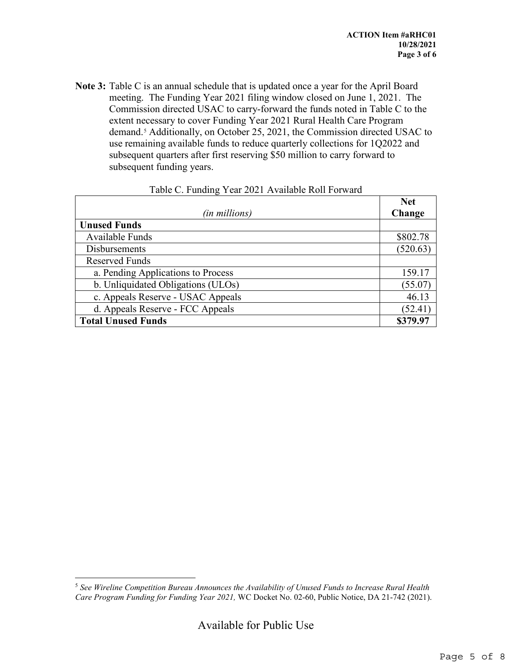**Note 3:** Table C is an annual schedule that is updated once a year for the April Board meeting. The Funding Year 2021 filing window closed on June 1, 2021. The Commission directed USAC to carry-forward the funds noted in Table C to the extent necessary to cover Funding Year 2021 Rural Health Care Program demand.<sup>[5](#page-4-0)</sup> Additionally, on October 25, 2021, the Commission directed USAC to use remaining available funds to reduce quarterly collections for 1Q2022 and subsequent quarters after first reserving \$50 million to carry forward to subsequent funding years.

|                                    | <b>Net</b> |
|------------------------------------|------------|
| (in millions)                      | Change     |
| <b>Unused Funds</b>                |            |
| Available Funds                    | \$802.78   |
| <b>Disbursements</b>               | (520.63)   |
| Reserved Funds                     |            |
| a. Pending Applications to Process | 159.17     |
| b. Unliquidated Obligations (ULOs) | (55.07)    |
| c. Appeals Reserve - USAC Appeals  | 46.13      |
| d. Appeals Reserve - FCC Appeals   | (52.41)    |
| <b>Total Unused Funds</b>          | \$379.97   |

| Table C. Funding Year 2021 Available Roll Forward |  |  |
|---------------------------------------------------|--|--|
|                                                   |  |  |

<span id="page-4-0"></span> <sup>5</sup> *See Wireline Competition Bureau Announces the Availability of Unused Funds to Increase Rural Health Care Program Funding for Funding Year 2021,* WC Docket No. 02-60, Public Notice, DA 21-742 (2021).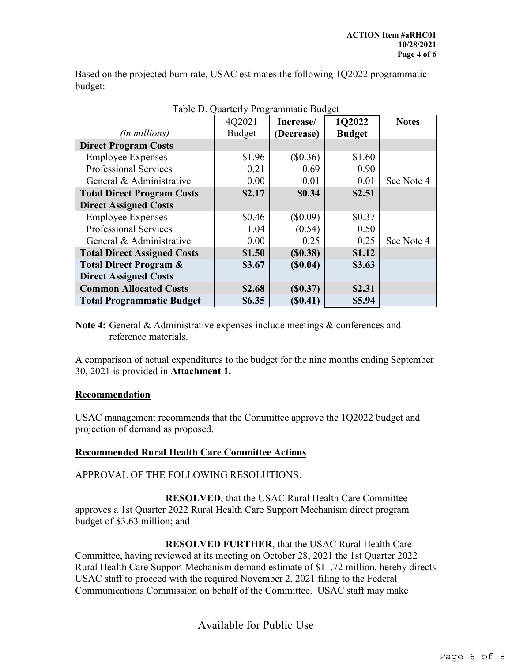Based on the projected burn rate, USAC estimates the following 1Q2022 programmatic budget:

| Table D. Quarterly Programmatic Budget |               |            |               |              |  |  |
|----------------------------------------|---------------|------------|---------------|--------------|--|--|
|                                        | 4Q2021        | Increase/  | 1Q2022        | <b>Notes</b> |  |  |
| (in millions)                          | <b>Budget</b> | (Decrease) | <b>Budget</b> |              |  |  |
| <b>Direct Program Costs</b>            |               |            |               |              |  |  |
| <b>Employee Expenses</b>               | \$1.96        | (\$0.36)   | \$1.60        |              |  |  |
| <b>Professional Services</b>           | 0.21          | 0.69       | 0.90          |              |  |  |
| General & Administrative               | 0.00          | 0.01       | 0.01          | See Note 4   |  |  |
| <b>Total Direct Program Costs</b>      | \$2.17        | \$0.34     | \$2.51        |              |  |  |
| <b>Direct Assigned Costs</b>           |               |            |               |              |  |  |
| <b>Employee Expenses</b>               | \$0.46        | $(\$0.09)$ | \$0.37        |              |  |  |
| Professional Services                  | 1.04          | (0.54)     | 0.50          |              |  |  |
| General & Administrative               | 0.00          | 0.25       | 0.25          | See Note 4   |  |  |
| <b>Total Direct Assigned Costs</b>     | \$1.50        | (S0.38)    | \$1.12        |              |  |  |
| <b>Total Direct Program &amp;</b>      | \$3.67        | (S0.04)    | \$3.63        |              |  |  |
| <b>Direct Assigned Costs</b>           |               |            |               |              |  |  |
| <b>Common Allocated Costs</b>          | \$2.68        | (S0.37)    | \$2.31        |              |  |  |
| <b>Total Programmatic Budget</b>       | \$6.35        | (\$0.41)   | \$5.94        |              |  |  |

Table D. Quarterly Programmatic Budget

**Note 4:** General & Administrative expenses include meetings & conferences and reference materials.

A comparison of actual expenditures to the budget for the nine months ending September 30, 2021 is provided in **Attachment 1.**

#### **Recommendation**

USAC management recommends that the Committee approve the 1Q2022 budget and projection of demand as proposed.

#### **Recommended Rural Health Care Committee Actions**

APPROVAL OF THE FOLLOWING RESOLUTIONS:

**RESOLVED**, that the USAC Rural Health Care Committee approves a 1st Quarter 2022 Rural Health Care Support Mechanism direct program budget of \$3.63 million; and

**RESOLVED FURTHER**, that the USAC Rural Health Care Committee, having reviewed at its meeting on October 28, 2021 the 1st Quarter 2022 Rural Health Care Support Mechanism demand estimate of \$11.72 million, hereby directs USAC staff to proceed with the required November 2, 2021 filing to the Federal Communications Commission on behalf of the Committee. USAC staff may make

Available for Public Use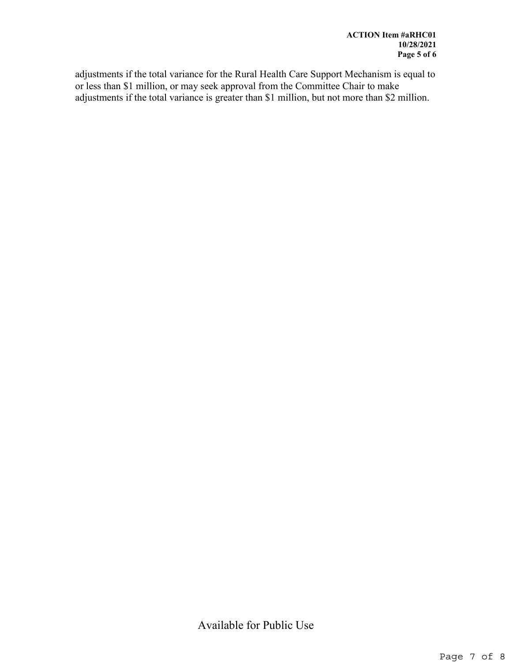adjustments if the total variance for the Rural Health Care Support Mechanism is equal to or less than \$1 million, or may seek approval from the Committee Chair to make adjustments if the total variance is greater than \$1 million, but not more than \$2 million.